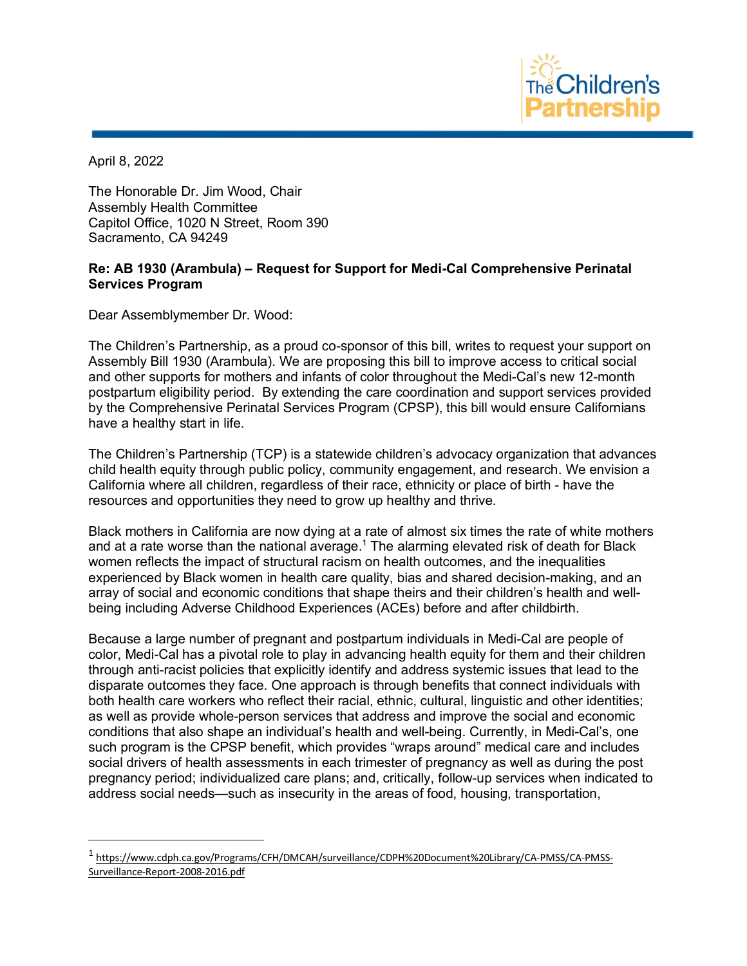

April 8, 2022

The Honorable Dr. Jim Wood, Chair Assembly Health Committee Capitol Office, 1020 N Street, Room 390 Sacramento, CA 94249

## **Re: AB 1930 (Arambula) – Request for Support for Medi-Cal Comprehensive Perinatal Services Program**

Dear Assemblymember Dr. Wood:

The Children's Partnership, as a proud co-sponsor of this bill, writes to request your support on Assembly Bill 1930 (Arambula). We are proposing this bill to improve access to critical social and other supports for mothers and infants of color throughout the Medi-Cal's new 12-month postpartum eligibility period. By extending the care coordination and support services provided by the Comprehensive Perinatal Services Program (CPSP), this bill would ensure Californians have a healthy start in life.

The Children's Partnership (TCP) is a statewide children's advocacy organization that advances child health equity through public policy, community engagement, and research. We envision a California where all children, regardless of their race, ethnicity or place of birth - have the resources and opportunities they need to grow up healthy and thrive.

Black mothers in California are now dying at a rate of almost six times the rate of white mothers and at a rate worse than the national average.<sup>1</sup> The alarming elevated risk of death for Black women reflects the impact of structural racism on health outcomes, and the inequalities experienced by Black women in health care quality, bias and shared decision-making, and an array of social and economic conditions that shape theirs and their children's health and wellbeing including Adverse Childhood Experiences (ACEs) before and after childbirth.

Because a large number of pregnant and postpartum individuals in Medi-Cal are people of color, Medi-Cal has a pivotal role to play in advancing health equity for them and their children through anti-racist policies that explicitly identify and address systemic issues that lead to the disparate outcomes they face. One approach is through benefits that connect individuals with both health care workers who reflect their racial, ethnic, cultural, linguistic and other identities; as well as provide whole-person services that address and improve the social and economic conditions that also shape an individual's health and well-being. Currently, in Medi-Cal's, one such program is the CPSP benefit, which provides "wraps around" medical care and includes social drivers of health assessments in each trimester of pregnancy as well as during the post pregnancy period; individualized care plans; and, critically, follow-up services when indicated to address social needs—such as insecurity in the areas of food, housing, transportation,

 <sup>1</sup> https://www.cdph.ca.gov/Programs/CFH/DMCAH/surveillance/CDPH%20Document%20Library/CA-PMSS/CA-PMSS-Surveillance-Report-2008-2016.pdf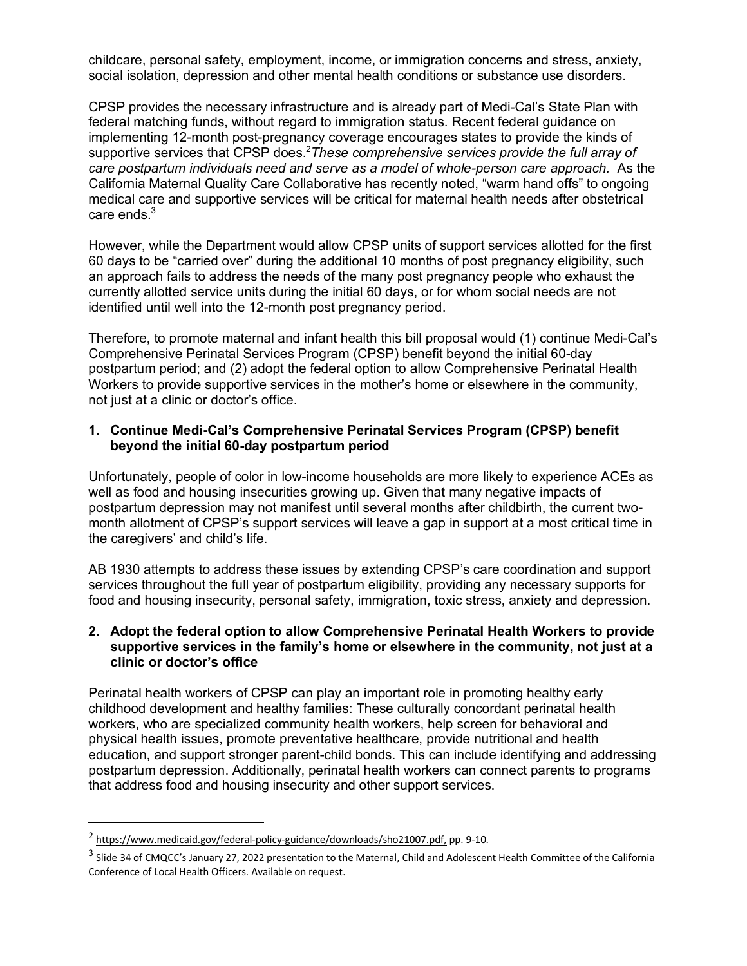childcare, personal safety, employment, income, or immigration concerns and stress, anxiety, social isolation, depression and other mental health conditions or substance use disorders.

CPSP provides the necessary infrastructure and is already part of Medi-Cal's State Plan with federal matching funds, without regard to immigration status. Recent federal guidance on implementing 12-month post-pregnancy coverage encourages states to provide the kinds of supportive services that CPSP does.<sup>2</sup>These comprehensive services provide the full array of *care postpartum individuals need and serve as a model of whole-person care approach.* As the California Maternal Quality Care Collaborative has recently noted, "warm hand offs" to ongoing medical care and supportive services will be critical for maternal health needs after obstetrical care ends.<sup>3</sup>

However, while the Department would allow CPSP units of support services allotted for the first 60 days to be "carried over" during the additional 10 months of post pregnancy eligibility, such an approach fails to address the needs of the many post pregnancy people who exhaust the currently allotted service units during the initial 60 days, or for whom social needs are not identified until well into the 12-month post pregnancy period.

Therefore, to promote maternal and infant health this bill proposal would (1) continue Medi-Cal's Comprehensive Perinatal Services Program (CPSP) benefit beyond the initial 60-day postpartum period; and (2) adopt the federal option to allow Comprehensive Perinatal Health Workers to provide supportive services in the mother's home or elsewhere in the community, not just at a clinic or doctor's office.

## **1. Continue Medi-Cal's Comprehensive Perinatal Services Program (CPSP) benefit beyond the initial 60-day postpartum period**

Unfortunately, people of color in low-income households are more likely to experience ACEs as well as food and housing insecurities growing up. Given that many negative impacts of postpartum depression may not manifest until several months after childbirth, the current twomonth allotment of CPSP's support services will leave a gap in support at a most critical time in the caregivers' and child's life.

AB 1930 attempts to address these issues by extending CPSP's care coordination and support services throughout the full year of postpartum eligibility, providing any necessary supports for food and housing insecurity, personal safety, immigration, toxic stress, anxiety and depression.

## **2. Adopt the federal option to allow Comprehensive Perinatal Health Workers to provide supportive services in the family's home or elsewhere in the community, not just at a clinic or doctor's office**

Perinatal health workers of CPSP can play an important role in promoting healthy early childhood development and healthy families: These culturally concordant perinatal health workers, who are specialized community health workers, help screen for behavioral and physical health issues, promote preventative healthcare, provide nutritional and health education, and support stronger parent-child bonds. This can include identifying and addressing postpartum depression. Additionally, perinatal health workers can connect parents to programs that address food and housing insecurity and other support services.

 <sup>2</sup> https://www.medicaid.gov/federal-policy-guidance/downloads/sho21007.pdf, pp. 9-10.

<sup>&</sup>lt;sup>3</sup> Slide 34 of CMQCC's January 27, 2022 presentation to the Maternal, Child and Adolescent Health Committee of the California Conference of Local Health Officers. Available on request.